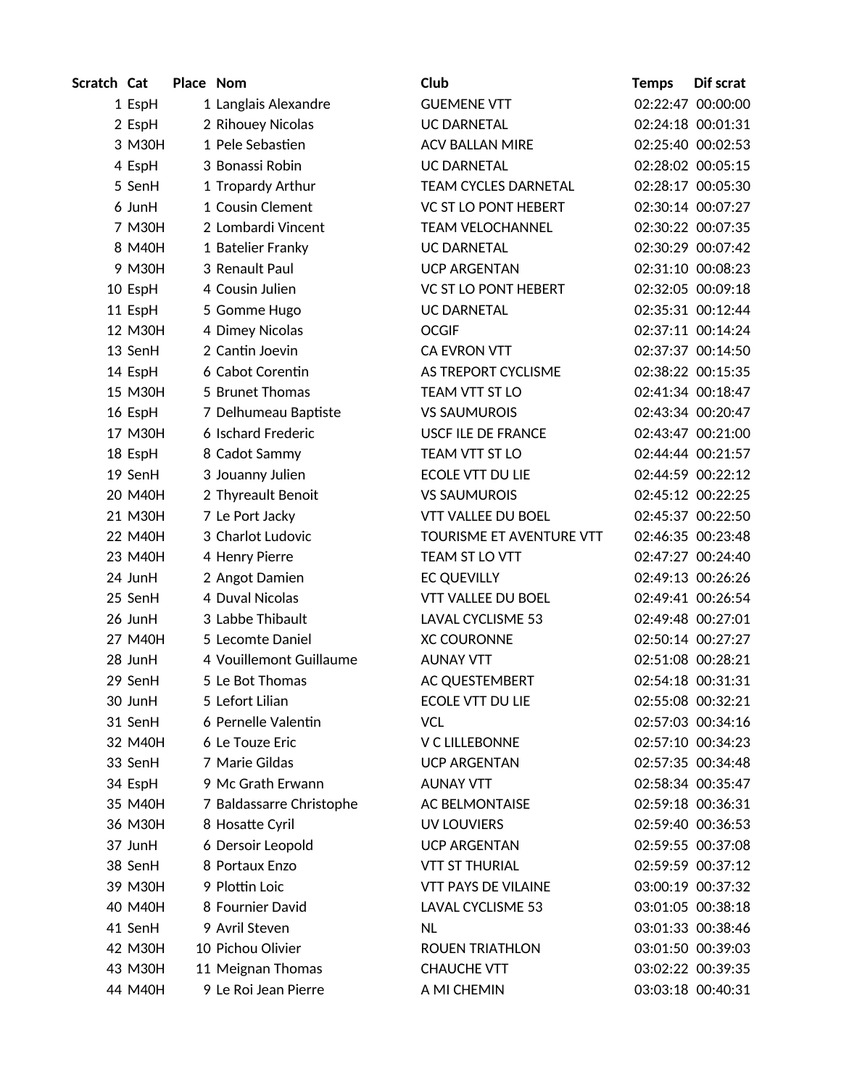| Scratch Cat |         | Place Nom |                          | Club                       | <b>Temps</b> | Dif scrat         |
|-------------|---------|-----------|--------------------------|----------------------------|--------------|-------------------|
|             | 1 EspH  |           | 1 Langlais Alexandre     | <b>GUEMENE VTT</b>         |              | 02:22:47 00:00:00 |
|             | 2 EspH  |           | 2 Rihouey Nicolas        | <b>UC DARNETAL</b>         |              | 02:24:18 00:01:31 |
|             | 3 M30H  |           | 1 Pele Sebastien         | <b>ACV BALLAN MIRE</b>     |              | 02:25:40 00:02:53 |
|             | 4 EspH  |           | 3 Bonassi Robin          | <b>UC DARNETAL</b>         |              | 02:28:02 00:05:15 |
|             | 5 SenH  |           | 1 Tropardy Arthur        | TEAM CYCLES DARNETAL       |              | 02:28:17 00:05:30 |
|             | 6 JunH  |           | 1 Cousin Clement         | VC ST LO PONT HEBERT       |              | 02:30:14 00:07:27 |
|             | 7 M30H  |           | 2 Lombardi Vincent       | <b>TEAM VELOCHANNEL</b>    |              | 02:30:22 00:07:35 |
|             | 8 M40H  |           | 1 Batelier Franky        | <b>UC DARNETAL</b>         |              | 02:30:29 00:07:42 |
|             | 9 M30H  |           | 3 Renault Paul           | <b>UCP ARGENTAN</b>        |              | 02:31:10 00:08:23 |
|             | 10 EspH |           | 4 Cousin Julien          | VC ST LO PONT HEBERT       |              | 02:32:05 00:09:18 |
|             | 11 EspH |           | 5 Gomme Hugo             | <b>UC DARNETAL</b>         |              | 02:35:31 00:12:44 |
|             | 12 M30H |           | 4 Dimey Nicolas          | <b>OCGIF</b>               |              | 02:37:11 00:14:24 |
|             | 13 SenH |           | 2 Cantin Joevin          | CA EVRON VTT               |              | 02:37:37 00:14:50 |
|             | 14 EspH |           | 6 Cabot Corentin         | AS TREPORT CYCLISME        |              | 02:38:22 00:15:35 |
|             | 15 M30H |           | 5 Brunet Thomas          | TEAM VTT ST LO             |              | 02:41:34 00:18:47 |
|             | 16 EspH |           | 7 Delhumeau Baptiste     | <b>VS SAUMUROIS</b>        |              | 02:43:34 00:20:47 |
|             | 17 M30H |           | 6 Ischard Frederic       | USCF ILE DE FRANCE         |              | 02:43:47 00:21:00 |
|             | 18 EspH |           | 8 Cadot Sammy            | TEAM VTT ST LO             |              | 02:44:44 00:21:57 |
|             | 19 SenH |           | 3 Jouanny Julien         | ECOLE VTT DU LIE           |              | 02:44:59 00:22:12 |
|             | 20 M40H |           | 2 Thyreault Benoit       | <b>VS SAUMUROIS</b>        |              | 02:45:12 00:22:25 |
|             | 21 M30H |           | 7 Le Port Jacky          | <b>VTT VALLEE DU BOEL</b>  |              | 02:45:37 00:22:50 |
|             | 22 M40H |           | 3 Charlot Ludovic        | TOURISME ET AVENTURE VTT   |              | 02:46:35 00:23:48 |
|             | 23 M40H |           | 4 Henry Pierre           | TEAM ST LOVTT              |              | 02:47:27 00:24:40 |
|             | 24 JunH |           | 2 Angot Damien           | <b>EC QUEVILLY</b>         |              | 02:49:13 00:26:26 |
|             | 25 SenH |           | 4 Duval Nicolas          | <b>VTT VALLEE DU BOEL</b>  |              | 02:49:41 00:26:54 |
|             | 26 JunH |           | 3 Labbe Thibault         | LAVAL CYCLISME 53          |              | 02:49:48 00:27:01 |
|             | 27 M40H |           | 5 Lecomte Daniel         | <b>XC COURONNE</b>         |              | 02:50:14 00:27:27 |
|             | 28 JunH |           | 4 Vouillemont Guillaume  | <b>AUNAY VTT</b>           |              | 02:51:08 00:28:21 |
|             | 29 SenH |           | 5 Le Bot Thomas          | AC QUESTEMBERT             |              | 02:54:18 00:31:31 |
|             | 30 JunH |           | 5 Lefort Lilian          | ECOLE VTT DU LIE           |              | 02:55:08 00:32:21 |
|             | 31 SenH |           | 6 Pernelle Valentin      | <b>VCL</b>                 |              | 02:57:03 00:34:16 |
|             | 32 M40H |           | 6 Le Touze Eric          | V C LILLEBONNE             |              | 02:57:10 00:34:23 |
|             | 33 SenH |           | 7 Marie Gildas           | <b>UCP ARGENTAN</b>        |              | 02:57:35 00:34:48 |
|             | 34 EspH |           | 9 Mc Grath Erwann        | <b>AUNAY VTT</b>           |              | 02:58:34 00:35:47 |
|             | 35 M40H |           | 7 Baldassarre Christophe | <b>AC BELMONTAISE</b>      |              | 02:59:18 00:36:31 |
|             | 36 M30H |           | 8 Hosatte Cyril          | <b>UV LOUVIERS</b>         |              | 02:59:40 00:36:53 |
|             | 37 JunH |           | 6 Dersoir Leopold        | <b>UCP ARGENTAN</b>        |              | 02:59:55 00:37:08 |
|             | 38 SenH |           | 8 Portaux Enzo           | <b>VTT ST THURIAL</b>      |              | 02:59:59 00:37:12 |
|             | 39 M30H |           | 9 Plottin Loic           | <b>VTT PAYS DE VILAINE</b> |              | 03:00:19 00:37:32 |
|             | 40 M40H |           | 8 Fournier David         | LAVAL CYCLISME 53          |              | 03:01:05 00:38:18 |
|             | 41 SenH |           | 9 Avril Steven           | <b>NL</b>                  |              | 03:01:33 00:38:46 |
|             | 42 M30H |           | 10 Pichou Olivier        | <b>ROUEN TRIATHLON</b>     |              | 03:01:50 00:39:03 |
|             | 43 M30H |           | 11 Meignan Thomas        | <b>CHAUCHE VTT</b>         |              | 03:02:22 00:39:35 |
|             | 44 M40H |           | 9 Le Roi Jean Pierre     | A MI CHEMIN                |              | 03:03:18 00:40:31 |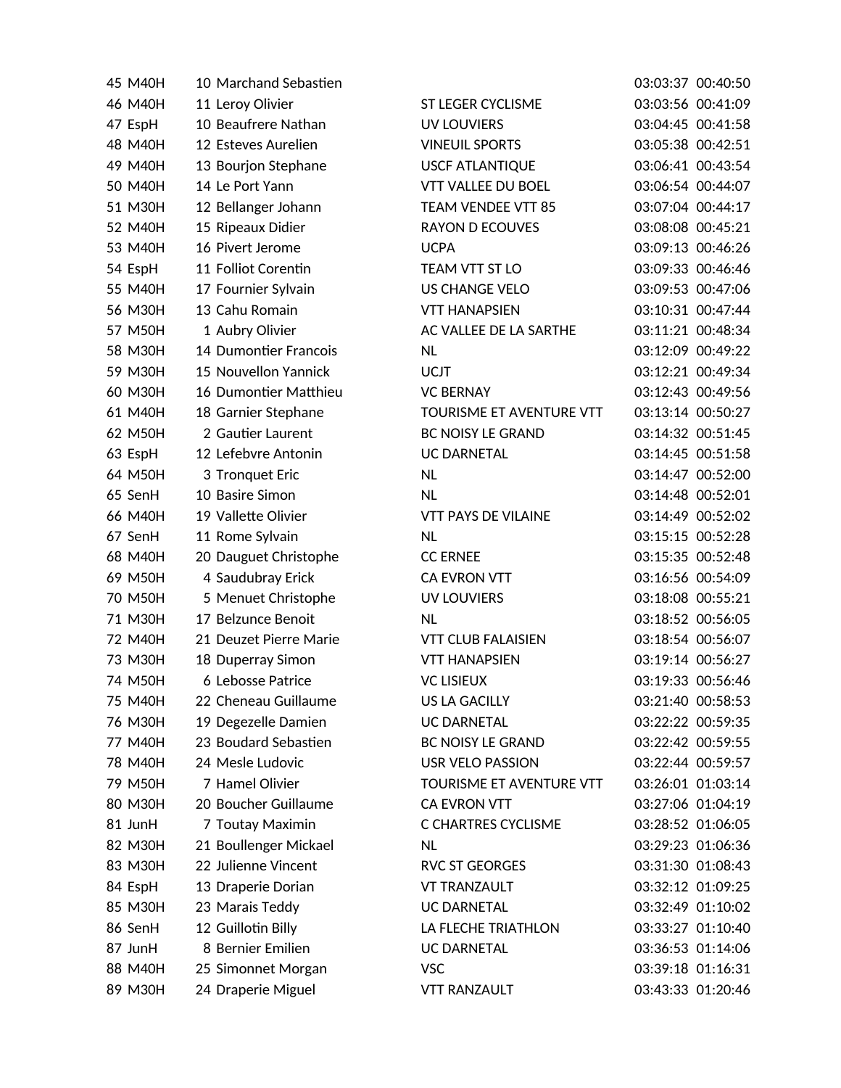| 45 M40H | 10 Marchand Sebastien  |                            | 03:03:37 00:40:50 |
|---------|------------------------|----------------------------|-------------------|
| 46 M40H | 11 Leroy Olivier       | ST LEGER CYCLISME          | 03:03:56 00:41:09 |
| 47 EspH | 10 Beaufrere Nathan    | <b>UV LOUVIERS</b>         | 03:04:45 00:41:58 |
| 48 M40H | 12 Esteves Aurelien    | <b>VINEUIL SPORTS</b>      | 03:05:38 00:42:51 |
| 49 M40H | 13 Bourjon Stephane    | <b>USCF ATLANTIQUE</b>     | 03:06:41 00:43:54 |
| 50 M40H | 14 Le Port Yann        | <b>VTT VALLEE DU BOEL</b>  | 03:06:54 00:44:07 |
| 51 M30H | 12 Bellanger Johann    | TEAM VENDEE VTT 85         | 03:07:04 00:44:17 |
| 52 M40H | 15 Ripeaux Didier      | <b>RAYON D ECOUVES</b>     | 03:08:08 00:45:21 |
| 53 M40H | 16 Pivert Jerome       | <b>UCPA</b>                | 03:09:13 00:46:26 |
| 54 EspH | 11 Folliot Corentin    | <b>TEAM VTT ST LO</b>      | 03:09:33 00:46:46 |
| 55 M40H | 17 Fournier Sylvain    | <b>US CHANGE VELO</b>      | 03:09:53 00:47:06 |
| 56 M30H | 13 Cahu Romain         | <b>VTT HANAPSIEN</b>       | 03:10:31 00:47:44 |
| 57 M50H | 1 Aubry Olivier        | AC VALLEE DE LA SARTHE     | 03:11:21 00:48:34 |
| 58 M30H | 14 Dumontier Francois  | <b>NL</b>                  | 03:12:09 00:49:22 |
| 59 M30H | 15 Nouvellon Yannick   | <b>UCJT</b>                | 03:12:21 00:49:34 |
| 60 M30H | 16 Dumontier Matthieu  | <b>VC BERNAY</b>           | 03:12:43 00:49:56 |
| 61 M40H | 18 Garnier Stephane    | TOURISME ET AVENTURE VTT   | 03:13:14 00:50:27 |
| 62 M50H | 2 Gautier Laurent      | <b>BC NOISY LE GRAND</b>   | 03:14:32 00:51:45 |
| 63 EspH | 12 Lefebvre Antonin    | <b>UC DARNETAL</b>         | 03:14:45 00:51:58 |
| 64 M50H | 3 Tronquet Eric        | <b>NL</b>                  | 03:14:47 00:52:00 |
| 65 SenH | 10 Basire Simon        | <b>NL</b>                  | 03:14:48 00:52:01 |
| 66 M40H | 19 Vallette Olivier    | <b>VTT PAYS DE VILAINE</b> | 03:14:49 00:52:02 |
| 67 SenH | 11 Rome Sylvain        | <b>NL</b>                  | 03:15:15 00:52:28 |
| 68 M40H | 20 Dauguet Christophe  | <b>CC ERNEE</b>            | 03:15:35 00:52:48 |
| 69 M50H | 4 Saudubray Erick      | CA EVRON VTT               | 03:16:56 00:54:09 |
| 70 M50H | 5 Menuet Christophe    | <b>UV LOUVIERS</b>         | 03:18:08 00:55:21 |
| 71 M30H | 17 Belzunce Benoit     | <b>NL</b>                  | 03:18:52 00:56:05 |
| 72 M40H | 21 Deuzet Pierre Marie | <b>VTT CLUB FALAISIEN</b>  | 03:18:54 00:56:07 |
| 73 M30H | 18 Duperray Simon      | <b>VTT HANAPSIEN</b>       | 03:19:14 00:56:27 |
| 74 M50H | 6 Lebosse Patrice      | <b>VC LISIEUX</b>          | 03:19:33 00:56:46 |
| 75 M40H | 22 Cheneau Guillaume   | <b>US LA GACILLY</b>       | 03:21:40 00:58:53 |
| 76 M30H | 19 Degezelle Damien    | <b>UC DARNETAL</b>         | 03:22:22 00:59:35 |
| 77 M40H | 23 Boudard Sebastien   | BC NOISY LE GRAND          | 03:22:42 00:59:55 |
| 78 M40H | 24 Mesle Ludovic       | <b>USR VELO PASSION</b>    | 03:22:44 00:59:57 |
| 79 M50H | 7 Hamel Olivier        | TOURISME ET AVENTURE VTT   | 03:26:01 01:03:14 |
| 80 M30H | 20 Boucher Guillaume   | <b>CA EVRON VTT</b>        | 03:27:06 01:04:19 |
| 81 JunH | 7 Toutay Maximin       | C CHARTRES CYCLISME        | 03:28:52 01:06:05 |
| 82 M30H | 21 Boullenger Mickael  | NL.                        | 03:29:23 01:06:36 |
| 83 M30H | 22 Julienne Vincent    | <b>RVC ST GEORGES</b>      | 03:31:30 01:08:43 |
| 84 EspH | 13 Draperie Dorian     | <b>VT TRANZAULT</b>        | 03:32:12 01:09:25 |
| 85 M30H | 23 Marais Teddy        | <b>UC DARNETAL</b>         | 03:32:49 01:10:02 |
| 86 SenH | 12 Guillotin Billy     | LA FLECHE TRIATHLON        | 03:33:27 01:10:40 |
| 87 JunH | 8 Bernier Emilien      | <b>UC DARNETAL</b>         | 03:36:53 01:14:06 |
| 88 M40H | 25 Simonnet Morgan     | <b>VSC</b>                 | 03:39:18 01:16:31 |
| 89 M30H | 24 Draperie Miguel     | <b>VTT RANZAULT</b>        | 03:43:33 01:20:46 |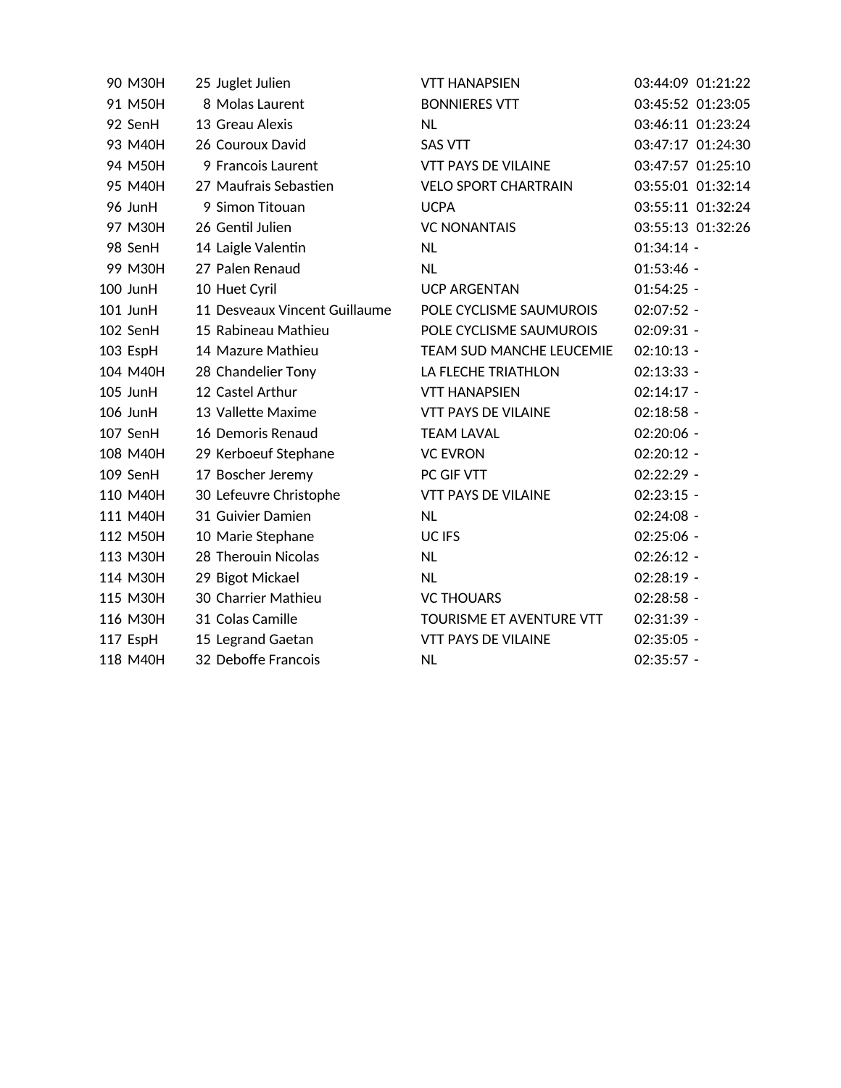| 90 M30H  | 25 Juglet Julien              | <b>VTT HANAPSIEN</b>        |                   | 03:44:09 01:21:22 |
|----------|-------------------------------|-----------------------------|-------------------|-------------------|
| 91 M50H  | 8 Molas Laurent               | <b>BONNIERES VTT</b>        | 03:45:52 01:23:05 |                   |
| 92 SenH  | 13 Greau Alexis               | <b>NL</b>                   | 03:46:11 01:23:24 |                   |
| 93 M40H  | 26 Couroux David              | <b>SAS VTT</b>              |                   | 03:47:17 01:24:30 |
| 94 M50H  | 9 Francois Laurent            | <b>VTT PAYS DE VILAINE</b>  | 03:47:57 01:25:10 |                   |
| 95 M40H  | 27 Maufrais Sebastien         | <b>VELO SPORT CHARTRAIN</b> | 03:55:01 01:32:14 |                   |
| 96 JunH  | 9 Simon Titouan               | <b>UCPA</b>                 | 03:55:11 01:32:24 |                   |
| 97 M30H  | 26 Gentil Julien              | <b>VC NONANTAIS</b>         | 03:55:13 01:32:26 |                   |
| 98 SenH  | 14 Laigle Valentin            | <b>NL</b>                   | $01:34:14 -$      |                   |
| 99 M30H  | 27 Palen Renaud               | <b>NL</b>                   | $01:53:46 -$      |                   |
| 100 JunH | 10 Huet Cyril                 | <b>UCP ARGENTAN</b>         | $01:54:25 -$      |                   |
| 101 JunH | 11 Desveaux Vincent Guillaume | POLE CYCLISME SAUMUROIS     | 02:07:52 -        |                   |
| 102 SenH | 15 Rabineau Mathieu           | POLE CYCLISME SAUMUROIS     | 02:09:31 -        |                   |
| 103 EspH | 14 Mazure Mathieu             | TEAM SUD MANCHE LEUCEMIE    | $02:10:13 -$      |                   |
| 104 M40H | 28 Chandelier Tony            | LA FLECHE TRIATHLON         | $02:13:33 -$      |                   |
| 105 JunH | 12 Castel Arthur              | <b>VTT HANAPSIEN</b>        | $02:14:17 -$      |                   |
| 106 JunH | 13 Vallette Maxime            | <b>VTT PAYS DE VILAINE</b>  | $02:18:58 -$      |                   |
| 107 SenH | 16 Demoris Renaud             | <b>TEAM LAVAL</b>           | 02:20:06 -        |                   |
| 108 M40H | 29 Kerboeuf Stephane          | <b>VC EVRON</b>             | $02:20:12 -$      |                   |
| 109 SenH | 17 Boscher Jeremy             | PC GIF VTT                  | 02:22:29 -        |                   |
| 110 M40H | 30 Lefeuvre Christophe        | <b>VTT PAYS DE VILAINE</b>  | $02:23:15 -$      |                   |
| 111 M40H | 31 Guivier Damien             | <b>NL</b>                   | 02:24:08 -        |                   |
| 112 M50H | 10 Marie Stephane             | UC IFS                      | 02:25:06 -        |                   |
| 113 M30H | 28 Therouin Nicolas           | <b>NL</b>                   | $02:26:12 -$      |                   |
| 114 M30H | 29 Bigot Mickael              | <b>NL</b>                   | $02:28:19 -$      |                   |
| 115 M30H | 30 Charrier Mathieu           | <b>VC THOUARS</b>           | 02:28:58 -        |                   |
| 116 M30H | 31 Colas Camille              | TOURISME ET AVENTURE VTT    | 02:31:39 -        |                   |
| 117 EspH | 15 Legrand Gaetan             | <b>VTT PAYS DE VILAINE</b>  | $02:35:05 -$      |                   |
| 118 M40H | 32 Deboffe Francois           | <b>NL</b>                   | 02:35:57 -        |                   |
|          |                               |                             |                   |                   |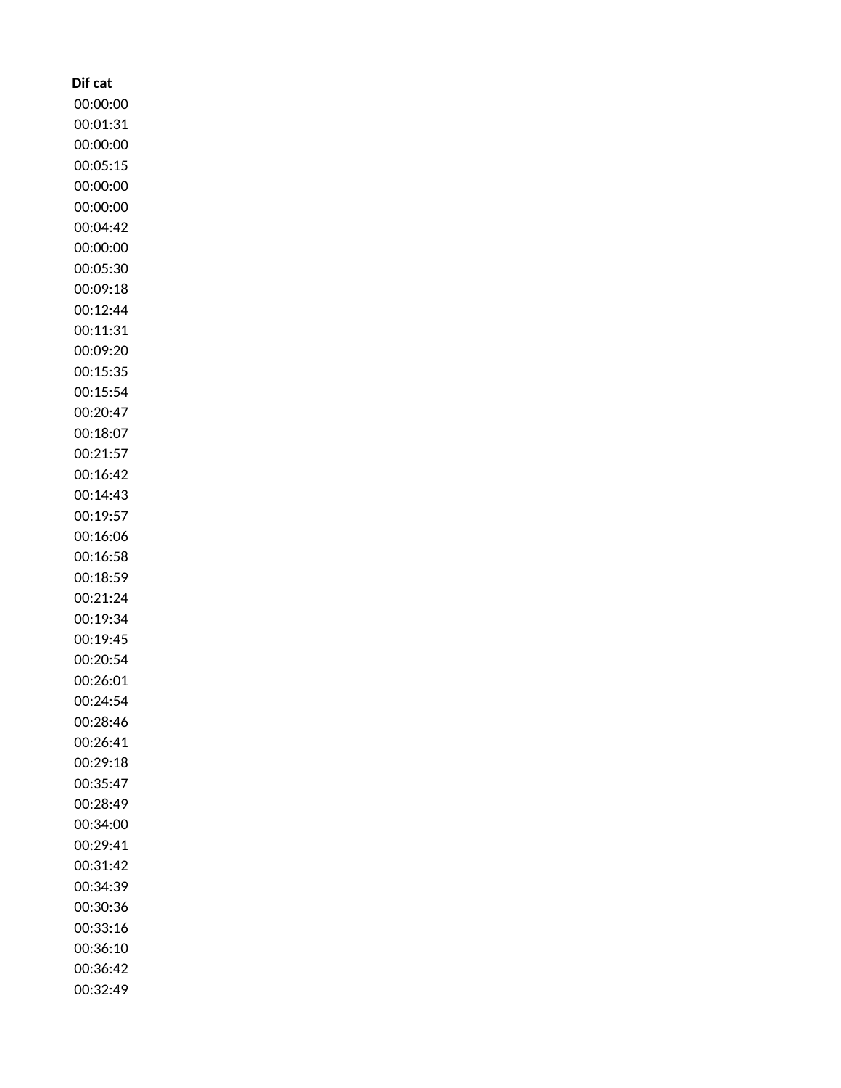| Dif cat              |
|----------------------|
| 00:00:00             |
| 00:01:31             |
| 00:00:00             |
| 00:05:15             |
| 00:00:00             |
| 00:00:00             |
| 00:04:42             |
| 00:00:00             |
| 00:05:30             |
| 00:09:18             |
| 00:12:44             |
| 00:11:31             |
| 00:09:20             |
| 00:15:35             |
| 00:15:54             |
| 00:20:47             |
| 00:18:07             |
| 00:21:57             |
| 00:16:42             |
| 00:14:43             |
| 00:19:57             |
| 00:16:06             |
| 00:16:58             |
| 00:18:59             |
| 00:21:24             |
| 00:19:34             |
| 00:19:45             |
| 00:20:54<br>00:26:01 |
| 00:24:54             |
| 00:28:46             |
| 00:26:41             |
| 00:29:18             |
| 00:35:47             |
| 00:28:49             |
| 00:34:00             |
| 00:29:41             |
| 00:31:42             |
| 00:34:39             |
| 00:30:36             |
| 00:33:16             |
| 00:36:10             |
| 00:36:42             |
| 00:32:49             |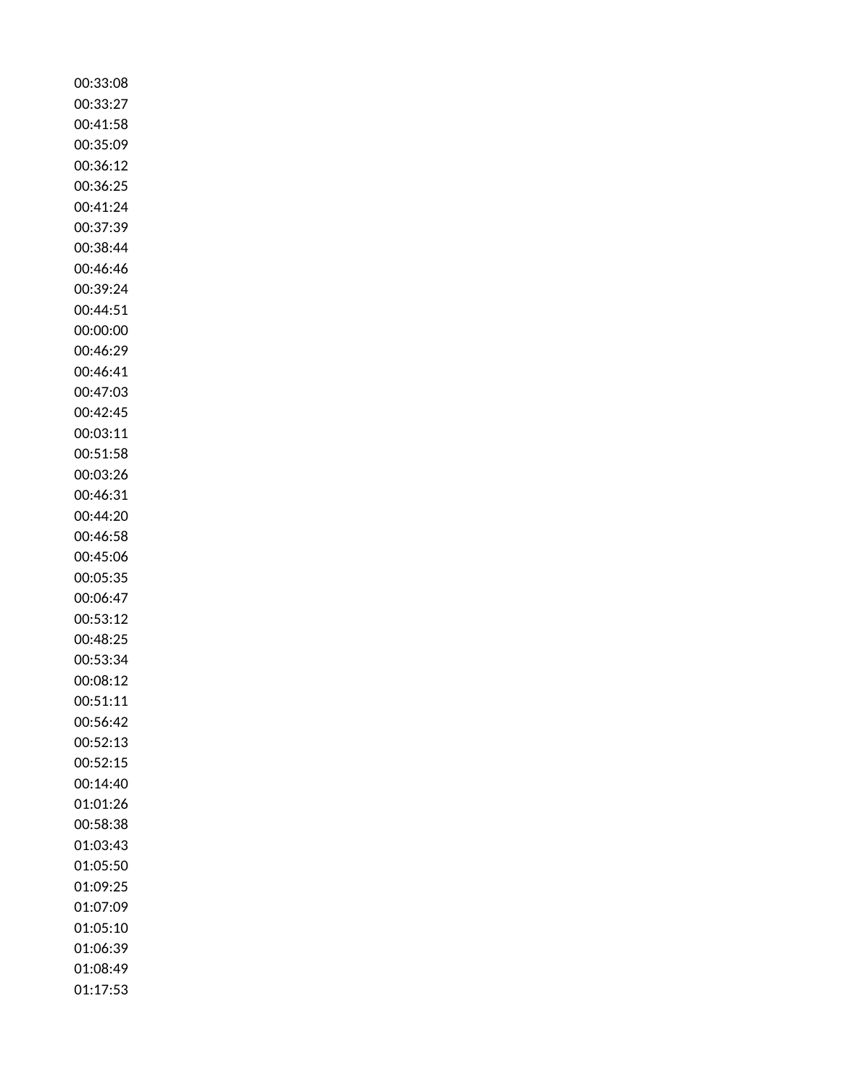| 00:33:08 |
|----------|
| 00:33:27 |
| 00:41:58 |
| 00:35:09 |
| 00:36:12 |
| 00:36:25 |
| 00:41:24 |
| 00:37:39 |
| 00:38:44 |
| 00:46:46 |
| 00:39:24 |
| 00:44:51 |
| 00:00:00 |
| 00:46:29 |
| 00:46:41 |
| 00:47:03 |
| 00:42:45 |
| 00:03:11 |
| 00:51:58 |
| 00:03:26 |
| 00:46:31 |
| 00:44:20 |
| 00:46:58 |
| 00:45:06 |
| 00:05:35 |
| 00:06:47 |
| 00:53:12 |
| 00:48:25 |
| 00:53:34 |
| 00:08:12 |
| 00:51:11 |
| 00:56:42 |
| 00:52:13 |
| 00:52:15 |
| 00:14:40 |
| 01:01:26 |
| 00:58:38 |
| 01:03:43 |
| 01:05:50 |
| 01:09:25 |
| 01:07:09 |
| 01:05:10 |
| 01:06:39 |
| 01:08:49 |
| 01:17:53 |